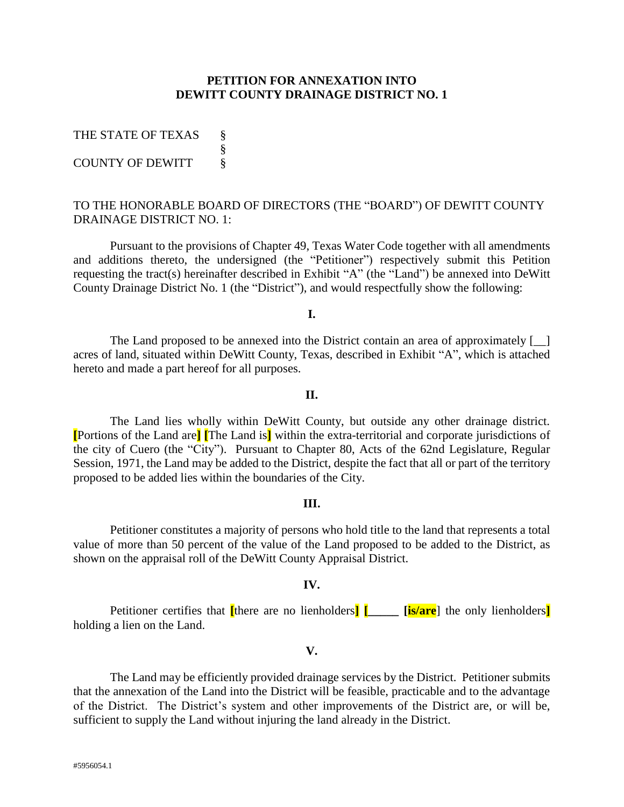## **PETITION FOR ANNEXATION INTO DEWITT COUNTY DRAINAGE DISTRICT NO. 1**

| THE STATE OF TEXAS      |  |
|-------------------------|--|
|                         |  |
| <b>COUNTY OF DEWITT</b> |  |

## TO THE HONORABLE BOARD OF DIRECTORS (THE "BOARD") OF DEWITT COUNTY DRAINAGE DISTRICT NO. 1:

Pursuant to the provisions of Chapter 49, Texas Water Code together with all amendments and additions thereto, the undersigned (the "Petitioner") respectively submit this Petition requesting the tract(s) hereinafter described in Exhibit "A" (the "Land") be annexed into DeWitt County Drainage District No. 1 (the "District"), and would respectfully show the following:

**I.**

The Land proposed to be annexed into the District contain an area of approximately  $\begin{bmatrix} 1 \end{bmatrix}$ acres of land, situated within DeWitt County, Texas, described in Exhibit "A", which is attached hereto and made a part hereof for all purposes.

## **II.**

The Land lies wholly within DeWitt County, but outside any other drainage district. **[**Portions of the Land are**] [**The Land is**]** within the extra-territorial and corporate jurisdictions of the city of Cuero (the "City"). Pursuant to Chapter 80, Acts of the 62nd Legislature, Regular Session, 1971, the Land may be added to the District, despite the fact that all or part of the territory proposed to be added lies within the boundaries of the City.

#### **III.**

Petitioner constitutes a majority of persons who hold title to the land that represents a total value of more than 50 percent of the value of the Land proposed to be added to the District, as shown on the appraisal roll of the DeWitt County Appraisal District.

#### **IV.**

Petitioner certifies that **[**there are no lienholders**] [\_\_\_\_\_ [is/are**] the only lienholders**]** holding a lien on the Land.

### **V.**

The Land may be efficiently provided drainage services by the District. Petitioner submits that the annexation of the Land into the District will be feasible, practicable and to the advantage of the District. The District's system and other improvements of the District are, or will be, sufficient to supply the Land without injuring the land already in the District.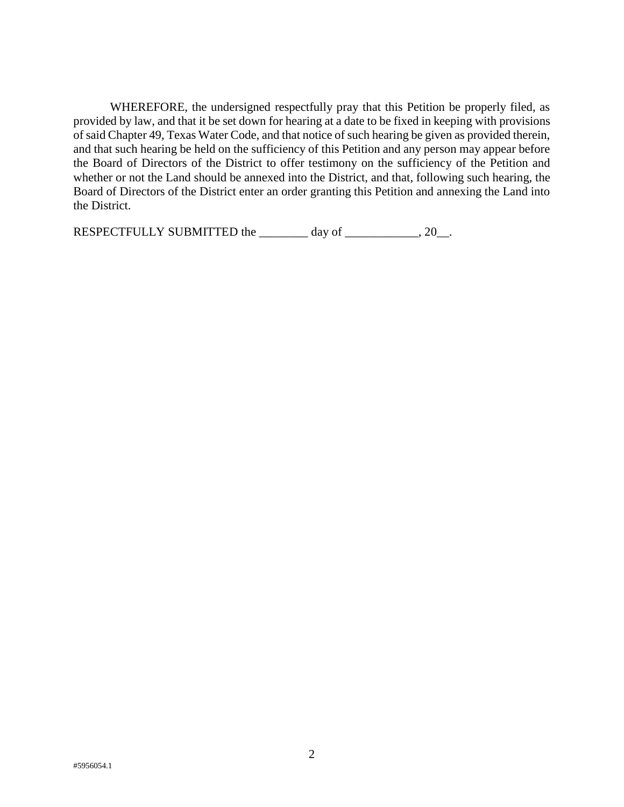WHEREFORE, the undersigned respectfully pray that this Petition be properly filed, as provided by law, and that it be set down for hearing at a date to be fixed in keeping with provisions of said Chapter 49, Texas Water Code, and that notice of such hearing be given as provided therein, and that such hearing be held on the sufficiency of this Petition and any person may appear before the Board of Directors of the District to offer testimony on the sufficiency of the Petition and whether or not the Land should be annexed into the District, and that, following such hearing, the Board of Directors of the District enter an order granting this Petition and annexing the Land into the District.

RESPECTFULLY SUBMITTED the \_\_\_\_\_\_\_\_ day of \_\_\_\_\_\_\_\_\_\_\_, 20\_.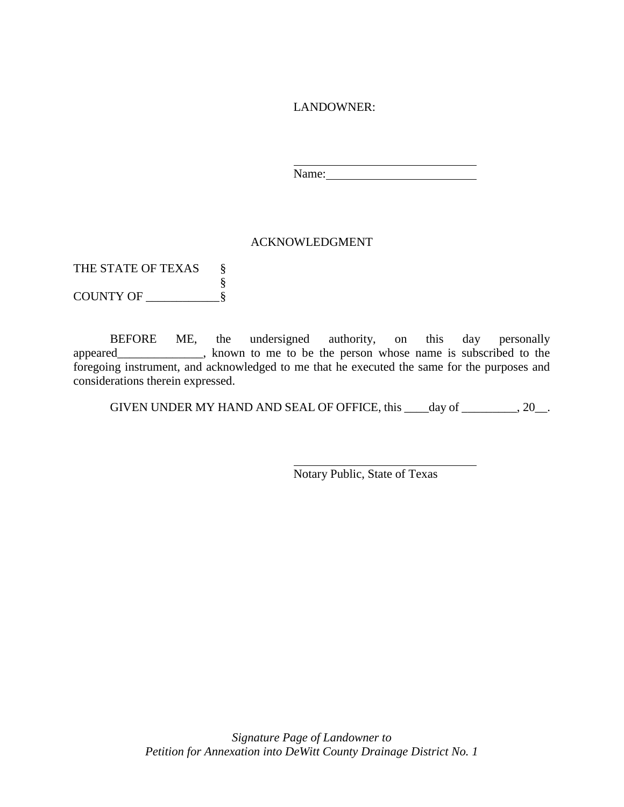LANDOWNER:

Name:

# ACKNOWLEDGMENT

THE STATE OF TEXAS § § COUNTY OF \_\_\_\_\_\_\_\_\_\_\_\_§

BEFORE ME, the undersigned authority, on this day personally appeared\_\_\_\_\_\_\_\_\_\_\_\_\_\_, known to me to be the person whose name is subscribed to the foregoing instrument, and acknowledged to me that he executed the same for the purposes and considerations therein expressed.

GIVEN UNDER MY HAND AND SEAL OF OFFICE, this \_\_\_\_day of \_\_\_\_\_\_\_\_\_, 20\_\_.

Notary Public, State of Texas